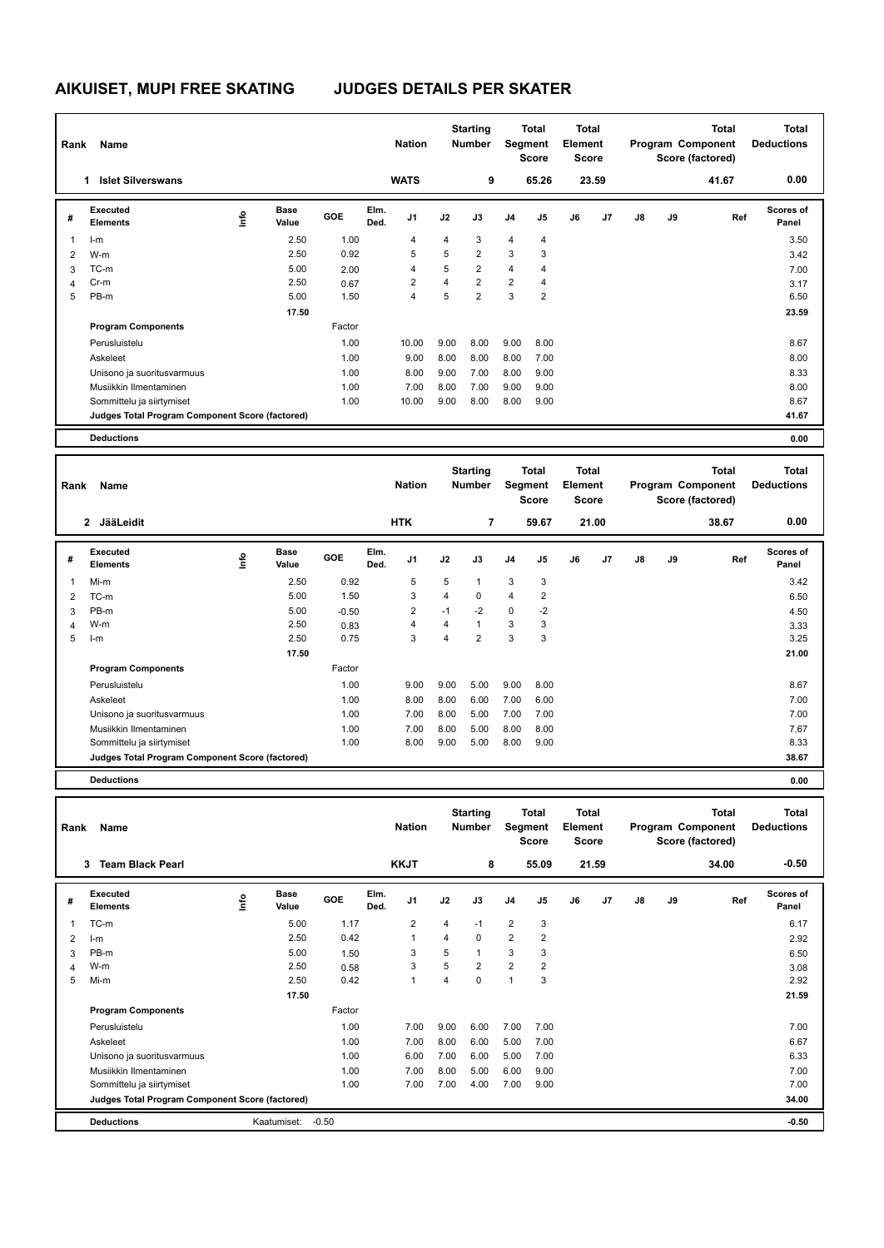## **AIKUISET, MUPI FREE SKATING JUDGES DETAILS PER SKATER**

| Rank | Name                                            |     |                      |            |              | <b>Nation</b>  |      | <b>Starting</b><br><b>Number</b> |                | <b>Total</b><br>Segment<br><b>Score</b> | Total<br>Element<br><b>Score</b> |                |    |    | <b>Total</b><br>Program Component<br>Score (factored) | Total<br><b>Deductions</b> |
|------|-------------------------------------------------|-----|----------------------|------------|--------------|----------------|------|----------------------------------|----------------|-----------------------------------------|----------------------------------|----------------|----|----|-------------------------------------------------------|----------------------------|
|      | <b>Islet Silverswans</b><br>1                   |     |                      |            |              | <b>WATS</b>    |      | 9                                |                | 65.26                                   |                                  | 23.59          |    |    | 41.67                                                 | 0.00                       |
| #    | Executed<br><b>Elements</b>                     | lmo | <b>Base</b><br>Value | <b>GOE</b> | Elm.<br>Ded. | J <sub>1</sub> | J2   | J3                               | J <sub>4</sub> | J <sub>5</sub>                          | J6                               | J <sub>7</sub> | J8 | J9 | Ref                                                   | <b>Scores of</b><br>Panel  |
| 1    | $l-m$                                           |     | 2.50                 | 1.00       |              | 4              | 4    | 3                                | 4              | 4                                       |                                  |                |    |    |                                                       | 3.50                       |
| 2    | W-m                                             |     | 2.50                 | 0.92       |              | 5              | 5    | $\overline{2}$                   | 3              | 3                                       |                                  |                |    |    |                                                       | 3.42                       |
| 3    | TC-m                                            |     | 5.00                 | 2.00       |              | 4              | 5    | $\overline{2}$                   | $\overline{4}$ | 4                                       |                                  |                |    |    |                                                       | 7.00                       |
| 4    | Cr-m                                            |     | 2.50                 | 0.67       |              | $\overline{2}$ | 4    | $\overline{2}$                   | 2              | 4                                       |                                  |                |    |    |                                                       | 3.17                       |
| 5    | PB-m                                            |     | 5.00                 | 1.50       |              | 4              | 5    | $\overline{2}$                   | 3              | $\overline{2}$                          |                                  |                |    |    |                                                       | 6.50                       |
|      |                                                 |     | 17.50                |            |              |                |      |                                  |                |                                         |                                  |                |    |    |                                                       | 23.59                      |
|      | <b>Program Components</b>                       |     |                      | Factor     |              |                |      |                                  |                |                                         |                                  |                |    |    |                                                       |                            |
|      | Perusluistelu                                   |     |                      | 1.00       |              | 10.00          | 9.00 | 8.00                             | 9.00           | 8.00                                    |                                  |                |    |    |                                                       | 8.67                       |
|      | Askeleet                                        |     |                      | 1.00       |              | 9.00           | 8.00 | 8.00                             | 8.00           | 7.00                                    |                                  |                |    |    |                                                       | 8.00                       |
|      | Unisono ja suoritusvarmuus                      |     |                      | 1.00       |              | 8.00           | 9.00 | 7.00                             | 8.00           | 9.00                                    |                                  |                |    |    |                                                       | 8.33                       |
|      | Musiikkin Ilmentaminen                          |     |                      | 1.00       |              | 7.00           | 8.00 | 7.00                             | 9.00           | 9.00                                    |                                  |                |    |    |                                                       | 8.00                       |
|      | Sommittelu ja siirtymiset                       |     |                      | 1.00       |              | 10.00          | 9.00 | 8.00                             | 8.00           | 9.00                                    |                                  |                |    |    |                                                       | 8.67                       |
|      | Judges Total Program Component Score (factored) |     |                      |            |              |                |      |                                  |                |                                         |                                  |                |    |    |                                                       | 41.67                      |
|      | <b>Deductions</b>                               |     |                      |            |              |                |      |                                  |                |                                         |                                  |                |    |    |                                                       | 0.00                       |

| Rank                    | Name                                            |      |                      |            |              | <b>Nation</b>  |                | <b>Starting</b><br><b>Number</b> |                | <b>Total</b><br>Segment<br><b>Score</b> | <b>Total</b><br>Element<br><b>Score</b> |       |    |    | <b>Total</b><br>Program Component<br>Score (factored) | <b>Total</b><br><b>Deductions</b> |
|-------------------------|-------------------------------------------------|------|----------------------|------------|--------------|----------------|----------------|----------------------------------|----------------|-----------------------------------------|-----------------------------------------|-------|----|----|-------------------------------------------------------|-----------------------------------|
|                         | 2 JääLeidit                                     |      |                      |            |              | <b>HTK</b>     |                | 7                                |                | 59.67                                   |                                         | 21.00 |    |    | 38.67                                                 | 0.00                              |
| #                       | Executed<br><b>Elements</b>                     | lnfo | <b>Base</b><br>Value | <b>GOE</b> | Elm.<br>Ded. | J <sub>1</sub> | J2             | J3                               | J <sub>4</sub> | J <sub>5</sub>                          | J6                                      | J7    | J8 | J9 | Ref                                                   | Scores of<br>Panel                |
| $\overline{\mathbf{1}}$ | Mi-m                                            |      | 2.50                 | 0.92       |              | 5              | 5              | 1                                | 3              | 3                                       |                                         |       |    |    |                                                       | 3.42                              |
| 2                       | TC-m                                            |      | 5.00                 | 1.50       |              | 3              | $\overline{4}$ | 0                                | $\overline{4}$ | $\overline{2}$                          |                                         |       |    |    |                                                       | 6.50                              |
| 3                       | PB-m                                            |      | 5.00                 | $-0.50$    |              | 2              | $-1$           | $-2$                             | $\mathbf 0$    | $-2$                                    |                                         |       |    |    |                                                       | 4.50                              |
| 4                       | W-m                                             |      | 2.50                 | 0.83       |              | 4              | 4              |                                  | 3              | 3                                       |                                         |       |    |    |                                                       | 3.33                              |
| 5                       | $l-m$                                           |      | 2.50                 | 0.75       |              | 3              | $\overline{4}$ | $\overline{2}$                   | 3              | 3                                       |                                         |       |    |    |                                                       | 3.25                              |
|                         |                                                 |      | 17.50                |            |              |                |                |                                  |                |                                         |                                         |       |    |    |                                                       | 21.00                             |
|                         | <b>Program Components</b>                       |      |                      | Factor     |              |                |                |                                  |                |                                         |                                         |       |    |    |                                                       |                                   |
|                         | Perusluistelu                                   |      |                      | 1.00       |              | 9.00           | 9.00           | 5.00                             | 9.00           | 8.00                                    |                                         |       |    |    |                                                       | 8.67                              |
|                         | Askeleet                                        |      |                      | 1.00       |              | 8.00           | 8.00           | 6.00                             | 7.00           | 6.00                                    |                                         |       |    |    |                                                       | 7.00                              |
|                         | Unisono ja suoritusvarmuus                      |      |                      | 1.00       |              | 7.00           | 8.00           | 5.00                             | 7.00           | 7.00                                    |                                         |       |    |    |                                                       | 7.00                              |
|                         | Musiikkin Ilmentaminen                          |      |                      | 1.00       |              | 7.00           | 8.00           | 5.00                             | 8.00           | 8.00                                    |                                         |       |    |    |                                                       | 7.67                              |
|                         | Sommittelu ja siirtymiset                       |      |                      | 1.00       |              | 8.00           | 9.00           | 5.00                             | 8.00           | 9.00                                    |                                         |       |    |    |                                                       | 8.33                              |
|                         | Judges Total Program Component Score (factored) |      |                      |            |              |                |                |                                  |                |                                         |                                         |       |    |    |                                                       | 38.67                             |
|                         | <b>Deductions</b>                               |      |                      |            |              |                |                |                                  |                |                                         |                                         |       |    |    |                                                       | 0.00                              |

| Rank | Name                                            |             |                      |         |              | <b>Nation</b>  |      | <b>Starting</b><br><b>Number</b> |                | <b>Total</b><br>Segment<br><b>Score</b> | <b>Total</b><br>Element<br><b>Score</b> |       |               |    | <b>Total</b><br>Program Component<br>Score (factored) | <b>Total</b><br><b>Deductions</b> |
|------|-------------------------------------------------|-------------|----------------------|---------|--------------|----------------|------|----------------------------------|----------------|-----------------------------------------|-----------------------------------------|-------|---------------|----|-------------------------------------------------------|-----------------------------------|
|      | 3<br><b>Team Black Pearl</b>                    |             |                      |         |              | <b>KKJT</b>    |      | 8                                |                | 55.09                                   |                                         | 21.59 |               |    | 34.00                                                 | $-0.50$                           |
| #    | Executed<br><b>Elements</b>                     | <u>lnfo</u> | <b>Base</b><br>Value | GOE     | Elm.<br>Ded. | J <sub>1</sub> | J2   | J3                               | J <sub>4</sub> | J5                                      | J6                                      | J7    | $\mathsf{J}8$ | J9 | Ref                                                   | Scores of<br>Panel                |
| 1    | TC-m                                            |             | 5.00                 | 1.17    |              | $\overline{2}$ | 4    | $-1$                             | $\overline{2}$ | 3                                       |                                         |       |               |    |                                                       | 6.17                              |
| 2    | $l-m$                                           |             | 2.50                 | 0.42    |              | 1              | 4    | $\Omega$                         | $\overline{2}$ | $\overline{2}$                          |                                         |       |               |    |                                                       | 2.92                              |
| 3    | PB-m                                            |             | 5.00                 | 1.50    |              | 3              | 5    | $\overline{1}$                   | 3              | 3                                       |                                         |       |               |    |                                                       | 6.50                              |
| Δ    | W-m                                             |             | 2.50                 | 0.58    |              | 3              | 5    | $\overline{2}$                   | $\overline{2}$ | 2                                       |                                         |       |               |    |                                                       | 3.08                              |
| 5    | Mi-m                                            |             | 2.50                 | 0.42    |              | $\overline{1}$ | 4    | $\mathbf 0$                      | $\overline{1}$ | 3                                       |                                         |       |               |    |                                                       | 2.92                              |
|      |                                                 |             | 17.50                |         |              |                |      |                                  |                |                                         |                                         |       |               |    |                                                       | 21.59                             |
|      | <b>Program Components</b>                       |             |                      | Factor  |              |                |      |                                  |                |                                         |                                         |       |               |    |                                                       |                                   |
|      | Perusluistelu                                   |             |                      | 1.00    |              | 7.00           | 9.00 | 6.00                             | 7.00           | 7.00                                    |                                         |       |               |    |                                                       | 7.00                              |
|      | Askeleet                                        |             |                      | 1.00    |              | 7.00           | 8.00 | 6.00                             | 5.00           | 7.00                                    |                                         |       |               |    |                                                       | 6.67                              |
|      | Unisono ja suoritusvarmuus                      |             |                      | 1.00    |              | 6.00           | 7.00 | 6.00                             | 5.00           | 7.00                                    |                                         |       |               |    |                                                       | 6.33                              |
|      | Musiikkin Ilmentaminen                          |             |                      | 1.00    |              | 7.00           | 8.00 | 5.00                             | 6.00           | 9.00                                    |                                         |       |               |    |                                                       | 7.00                              |
|      | Sommittelu ja siirtymiset                       |             |                      | 1.00    |              | 7.00           | 7.00 | 4.00                             | 7.00           | 9.00                                    |                                         |       |               |    |                                                       | 7.00                              |
|      | Judges Total Program Component Score (factored) |             |                      |         |              |                |      |                                  |                |                                         |                                         |       |               |    |                                                       | 34.00                             |
|      | <b>Deductions</b>                               |             | Kaatumiset:          | $-0.50$ |              |                |      |                                  |                |                                         |                                         |       |               |    |                                                       | $-0.50$                           |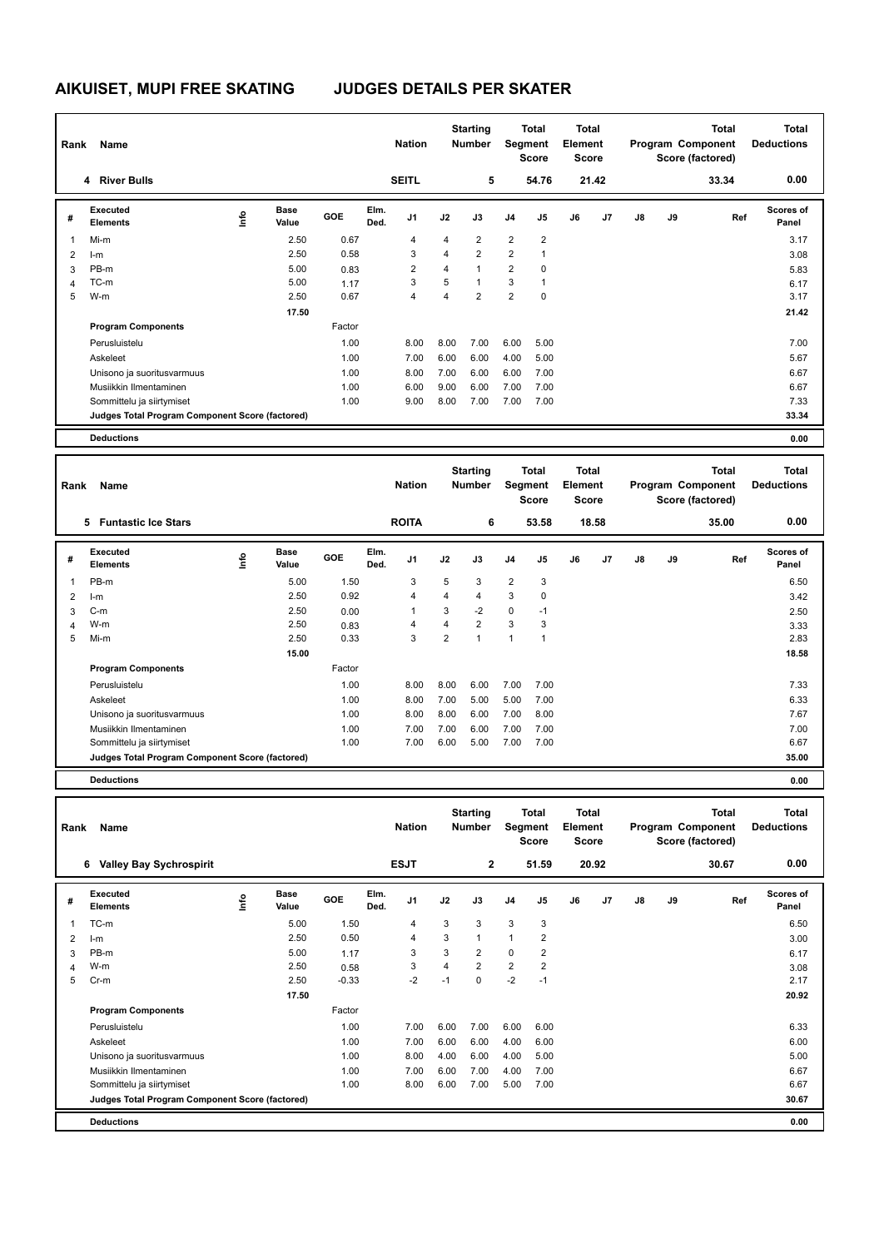## **AIKUISET, MUPI FREE SKATING JUDGES DETAILS PER SKATER**

| Rank | Name                                            |    |                      |        |              | <b>Nation</b>  |      | <b>Starting</b><br><b>Number</b> |                | <b>Total</b><br>Segment<br><b>Score</b> | <b>Total</b><br>Element<br><b>Score</b> |                |    |    | <b>Total</b><br>Program Component<br>Score (factored) | <b>Total</b><br><b>Deductions</b> |
|------|-------------------------------------------------|----|----------------------|--------|--------------|----------------|------|----------------------------------|----------------|-----------------------------------------|-----------------------------------------|----------------|----|----|-------------------------------------------------------|-----------------------------------|
|      | 4 River Bulls                                   |    |                      |        |              | <b>SEITL</b>   |      | 5                                |                | 54.76                                   |                                         | 21.42          |    |    | 33.34                                                 | 0.00                              |
| #    | Executed<br><b>Elements</b>                     | ۴ů | <b>Base</b><br>Value | GOE    | Elm.<br>Ded. | J <sub>1</sub> | J2   | J3                               | J <sub>4</sub> | J <sub>5</sub>                          | J6                                      | J <sub>7</sub> | J8 | J9 | Ref                                                   | <b>Scores of</b><br>Panel         |
| 1    | Mi-m                                            |    | 2.50                 | 0.67   |              | 4              | 4    | $\overline{2}$                   | 2              | $\overline{2}$                          |                                         |                |    |    |                                                       | 3.17                              |
| 2    | $l-m$                                           |    | 2.50                 | 0.58   |              | 3              | 4    | $\overline{2}$                   | $\overline{2}$ | 1                                       |                                         |                |    |    |                                                       | 3.08                              |
| 3    | PB-m                                            |    | 5.00                 | 0.83   |              | $\overline{2}$ | 4    |                                  | 2              | 0                                       |                                         |                |    |    |                                                       | 5.83                              |
| 4    | TC-m                                            |    | 5.00                 | 1.17   |              | 3              | 5    |                                  | 3              | 1                                       |                                         |                |    |    |                                                       | 6.17                              |
| 5    | W-m                                             |    | 2.50                 | 0.67   |              | 4              | 4    | $\overline{2}$                   | 2              | 0                                       |                                         |                |    |    |                                                       | 3.17                              |
|      |                                                 |    | 17.50                |        |              |                |      |                                  |                |                                         |                                         |                |    |    |                                                       | 21.42                             |
|      | <b>Program Components</b>                       |    |                      | Factor |              |                |      |                                  |                |                                         |                                         |                |    |    |                                                       |                                   |
|      | Perusluistelu                                   |    |                      | 1.00   |              | 8.00           | 8.00 | 7.00                             | 6.00           | 5.00                                    |                                         |                |    |    |                                                       | 7.00                              |
|      | Askeleet                                        |    |                      | 1.00   |              | 7.00           | 6.00 | 6.00                             | 4.00           | 5.00                                    |                                         |                |    |    |                                                       | 5.67                              |
|      | Unisono ja suoritusvarmuus                      |    |                      | 1.00   |              | 8.00           | 7.00 | 6.00                             | 6.00           | 7.00                                    |                                         |                |    |    |                                                       | 6.67                              |
|      | Musiikkin Ilmentaminen                          |    |                      | 1.00   |              | 6.00           | 9.00 | 6.00                             | 7.00           | 7.00                                    |                                         |                |    |    |                                                       | 6.67                              |
|      | Sommittelu ja siirtymiset                       |    |                      | 1.00   |              | 9.00           | 8.00 | 7.00                             | 7.00           | 7.00                                    |                                         |                |    |    |                                                       | 7.33                              |
|      | Judges Total Program Component Score (factored) |    |                      |        |              |                |      |                                  |                |                                         |                                         |                |    |    |                                                       | 33.34                             |
|      | <b>Deductions</b>                               |    |                      |        |              |                |      |                                  |                |                                         |                                         |                |    |    |                                                       | 0.00                              |

| Rank | Name                                            |      |                      |            |              | <b>Nation</b>  |                | <b>Starting</b><br><b>Number</b> |                | <b>Total</b><br>Segment<br><b>Score</b> | <b>Total</b><br>Element<br><b>Score</b> |                |               |    | Total<br>Program Component<br>Score (factored) | <b>Total</b><br><b>Deductions</b> |
|------|-------------------------------------------------|------|----------------------|------------|--------------|----------------|----------------|----------------------------------|----------------|-----------------------------------------|-----------------------------------------|----------------|---------------|----|------------------------------------------------|-----------------------------------|
|      | <b>Funtastic Ice Stars</b><br>5.                |      |                      |            |              | <b>ROITA</b>   |                | 6                                |                | 53.58                                   |                                         | 18.58          |               |    | 35.00                                          | 0.00                              |
| #    | Executed<br><b>Elements</b>                     | lnfo | <b>Base</b><br>Value | <b>GOE</b> | Elm.<br>Ded. | J <sub>1</sub> | J2             | J3                               | J <sub>4</sub> | J <sub>5</sub>                          | J6                                      | J <sub>7</sub> | $\mathsf{J}8$ | J9 | Ref                                            | <b>Scores of</b><br>Panel         |
| 1    | PB-m                                            |      | 5.00                 | 1.50       |              | 3              | 5              | 3                                | $\overline{2}$ | 3                                       |                                         |                |               |    |                                                | 6.50                              |
| 2    | $l-m$                                           |      | 2.50                 | 0.92       |              | 4              | 4              | 4                                | 3              | $\mathbf 0$                             |                                         |                |               |    |                                                | 3.42                              |
| 3    | $C-m$                                           |      | 2.50                 | 0.00       |              | 1              | 3              | $-2$                             | $\mathbf 0$    | $-1$                                    |                                         |                |               |    |                                                | 2.50                              |
| 4    | W-m                                             |      | 2.50                 | 0.83       |              | 4              | 4              | $\overline{2}$                   | 3              | 3                                       |                                         |                |               |    |                                                | 3.33                              |
| 5    | Mi-m                                            |      | 2.50                 | 0.33       |              | 3              | $\overline{2}$ | $\overline{1}$                   | $\overline{1}$ | 1                                       |                                         |                |               |    |                                                | 2.83                              |
|      |                                                 |      | 15.00                |            |              |                |                |                                  |                |                                         |                                         |                |               |    |                                                | 18.58                             |
|      | <b>Program Components</b>                       |      |                      | Factor     |              |                |                |                                  |                |                                         |                                         |                |               |    |                                                |                                   |
|      | Perusluistelu                                   |      |                      | 1.00       |              | 8.00           | 8.00           | 6.00                             | 7.00           | 7.00                                    |                                         |                |               |    |                                                | 7.33                              |
|      | Askeleet                                        |      |                      | 1.00       |              | 8.00           | 7.00           | 5.00                             | 5.00           | 7.00                                    |                                         |                |               |    |                                                | 6.33                              |
|      | Unisono ja suoritusvarmuus                      |      |                      | 1.00       |              | 8.00           | 8.00           | 6.00                             | 7.00           | 8.00                                    |                                         |                |               |    |                                                | 7.67                              |
|      | Musiikkin Ilmentaminen                          |      |                      | 1.00       |              | 7.00           | 7.00           | 6.00                             | 7.00           | 7.00                                    |                                         |                |               |    |                                                | 7.00                              |
|      | Sommittelu ja siirtymiset                       |      |                      | 1.00       |              | 7.00           | 6.00           | 5.00                             | 7.00           | 7.00                                    |                                         |                |               |    |                                                | 6.67                              |
|      | Judges Total Program Component Score (factored) |      |                      |            |              |                |                |                                  |                |                                         |                                         |                |               |    |                                                | 35.00                             |
|      | <b>Deductions</b>                               |      |                      |            |              |                |                |                                  |                |                                         |                                         |                |               |    |                                                | 0.00                              |

| Rank | Name                                            |             |                      |         |              | <b>Nation</b>  |      | <b>Starting</b><br><b>Number</b> |                | Total<br>Segment<br>Score | <b>Total</b><br>Element<br><b>Score</b> |       |    |    | <b>Total</b><br>Program Component<br>Score (factored) | <b>Total</b><br><b>Deductions</b> |
|------|-------------------------------------------------|-------------|----------------------|---------|--------------|----------------|------|----------------------------------|----------------|---------------------------|-----------------------------------------|-------|----|----|-------------------------------------------------------|-----------------------------------|
|      | <b>Valley Bay Sychrospirit</b><br>6             |             |                      |         |              | <b>ESJT</b>    |      | $\overline{2}$                   |                | 51.59                     |                                         | 20.92 |    |    | 30.67                                                 | 0.00                              |
| #    | Executed<br><b>Elements</b>                     | <u>lnfo</u> | <b>Base</b><br>Value | GOE     | Elm.<br>Ded. | J <sub>1</sub> | J2   | J3                               | J <sub>4</sub> | J <sub>5</sub>            | J6                                      | J7    | J8 | J9 | Ref                                                   | Scores of<br>Panel                |
|      | TC-m                                            |             | 5.00                 | 1.50    |              | 4              | 3    | 3                                | 3              | 3                         |                                         |       |    |    |                                                       | 6.50                              |
| 2    | $l-m$                                           |             | 2.50                 | 0.50    |              | 4              | 3    | $\mathbf{1}$                     | $\mathbf{1}$   | 2                         |                                         |       |    |    |                                                       | 3.00                              |
| 3    | PB-m                                            |             | 5.00                 | 1.17    |              | 3              | 3    | $\overline{2}$                   | $\mathbf 0$    | 2                         |                                         |       |    |    |                                                       | 6.17                              |
| 4    | W-m                                             |             | 2.50                 | 0.58    |              | 3              | 4    | $\overline{2}$                   | $\overline{2}$ | $\overline{2}$            |                                         |       |    |    |                                                       | 3.08                              |
| 5    | $Cr-m$                                          |             | 2.50                 | $-0.33$ |              | $-2$           | $-1$ | $\mathbf 0$                      | $-2$           | $-1$                      |                                         |       |    |    |                                                       | 2.17                              |
|      |                                                 |             | 17.50                |         |              |                |      |                                  |                |                           |                                         |       |    |    |                                                       | 20.92                             |
|      | <b>Program Components</b>                       |             |                      | Factor  |              |                |      |                                  |                |                           |                                         |       |    |    |                                                       |                                   |
|      | Perusluistelu                                   |             |                      | 1.00    |              | 7.00           | 6.00 | 7.00                             | 6.00           | 6.00                      |                                         |       |    |    |                                                       | 6.33                              |
|      | Askeleet                                        |             |                      | 1.00    |              | 7.00           | 6.00 | 6.00                             | 4.00           | 6.00                      |                                         |       |    |    |                                                       | 6.00                              |
|      | Unisono ja suoritusvarmuus                      |             |                      | 1.00    |              | 8.00           | 4.00 | 6.00                             | 4.00           | 5.00                      |                                         |       |    |    |                                                       | 5.00                              |
|      | Musiikkin Ilmentaminen                          |             |                      | 1.00    |              | 7.00           | 6.00 | 7.00                             | 4.00           | 7.00                      |                                         |       |    |    |                                                       | 6.67                              |
|      | Sommittelu ja siirtymiset                       |             |                      | 1.00    |              | 8.00           | 6.00 | 7.00                             | 5.00           | 7.00                      |                                         |       |    |    |                                                       | 6.67                              |
|      | Judges Total Program Component Score (factored) |             |                      |         |              |                |      |                                  |                |                           |                                         |       |    |    |                                                       | 30.67                             |
|      | <b>Deductions</b>                               |             |                      |         |              |                |      |                                  |                |                           |                                         |       |    |    |                                                       | 0.00                              |